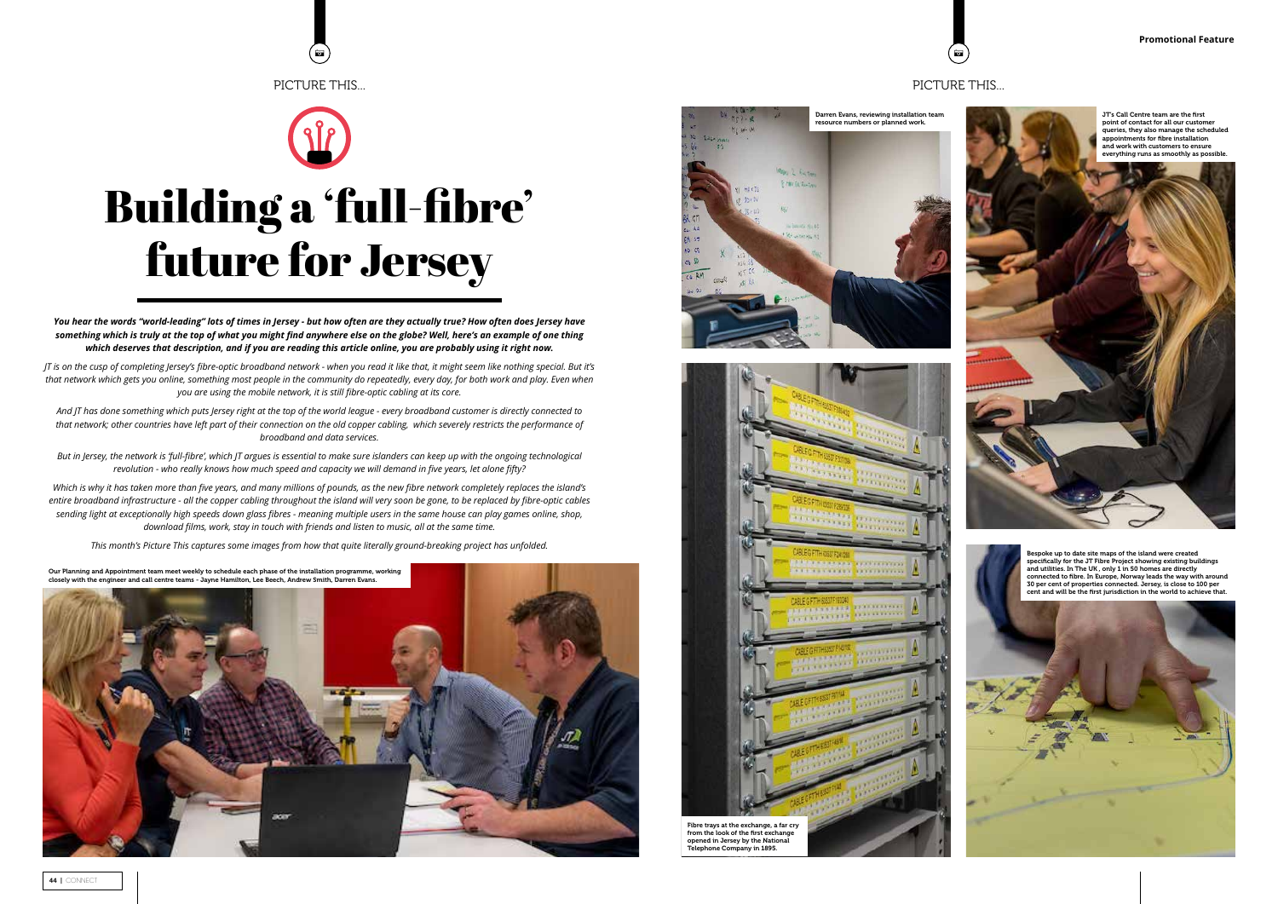# PICTURE THIS...



## PICTURE THIS...

**o** 

*You hear the words "world-leading" lots of times in Jersey - but how often are they actually true? How often does Jersey have something which is truly at the top of what you might find anywhere else on the globe? Well, here's an example of one thing which deserves that description, and if you are reading this article online, you are probably using it right now.* 

*JT is on the cusp of completing Jersey's fibre-optic broadband network - when you read it like that, it might seem like nothing special. But it's that network which gets you online, something most people in the community do repeatedly, every day, for both work and play. Even when you are using the mobile network, it is still fibre-optic cabling at its core.* 

Which is why it has taken more than five years, and many millions of pounds, as the new fibre network completely replaces the island's *entire broadband infrastructure - all the copper cabling throughout the island will very soon be gone, to be replaced by fibre-optic cables sending light at exceptionally high speeds down glass fibres - meaning multiple users in the same house can play games online, shop, download films, work, stay in touch with friends and listen to music, all at the same time.* 

*And JT has done something which puts Jersey right at the top of the world league - every broadband customer is directly connected to that network; other countries have left part of their connection on the old copper cabling, which severely restricts the performance of broadband and data services.* 

*But in Jersey, the network is 'full-fibre', which JT argues is essential to make sure islanders can keep up with the ongoing technological revolution - who really knows how much speed and capacity we will demand in five years, let alone fifty?*

*This month's Picture This captures some images from how that quite literally ground-breaking project has unfolded.*







Bespoke up to date site maps of the island were created specifically for the JT Fibre Project showing existing buildings and utilities. In The UK , only 1 in 50 homes are directly connected to fibre. In Europe, Norway leads the way with around 30 per cent of properties connected. Jersey, is close to 100 per cent and will be the first jurisdiction in the world to achieve that.

# Building a 'full-fibre' future for Jersey

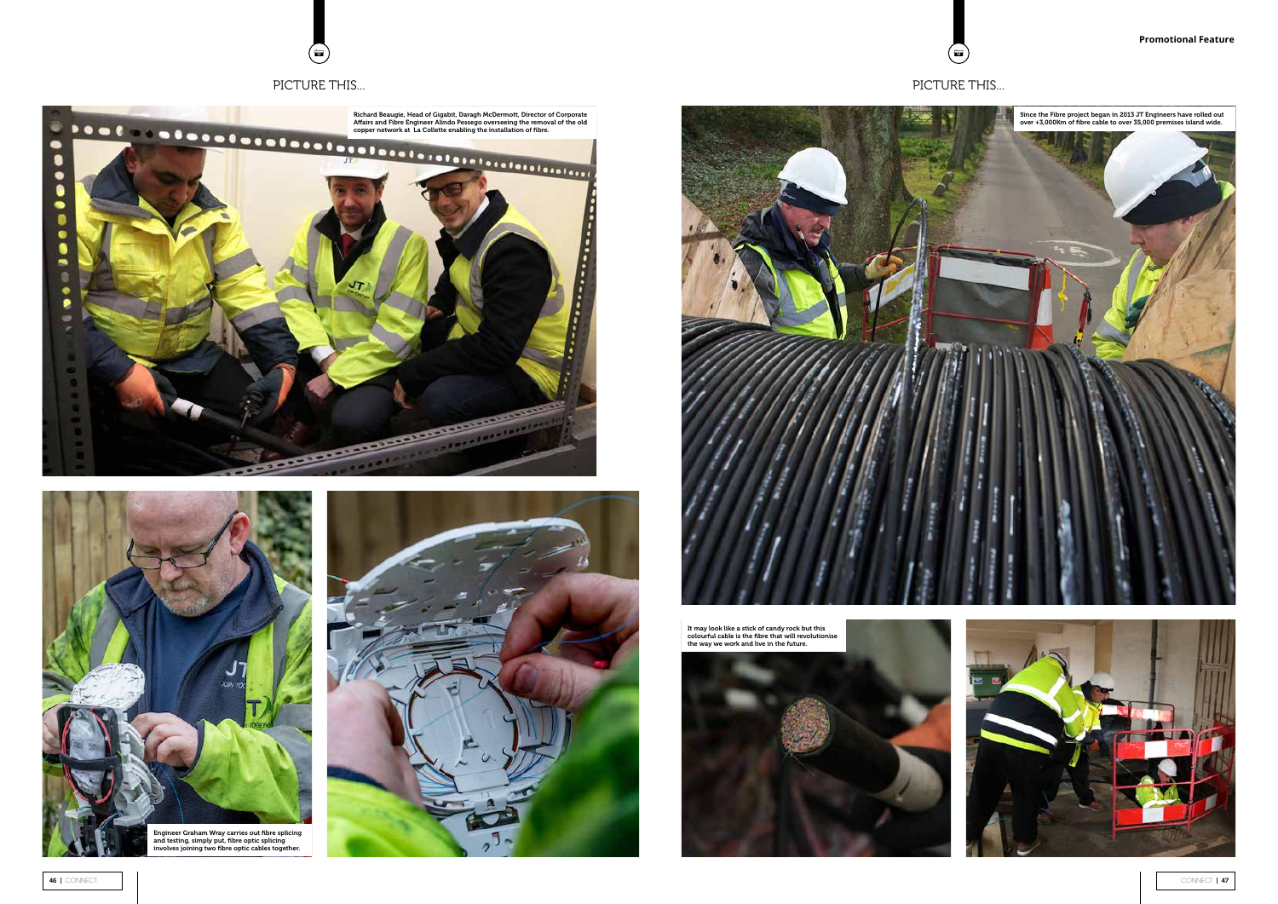

A A







# PICTURE THIS... PICTURE THIS...